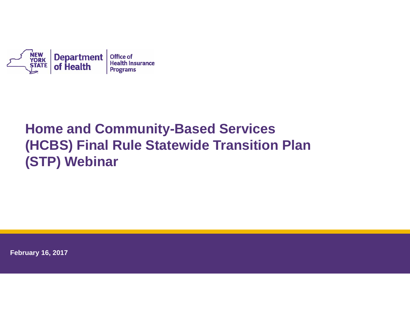

# **Home and Community-Based Services (HCBS) Final Rule Statewide Transition Plan (STP) Webinar**

**February 16, 2017**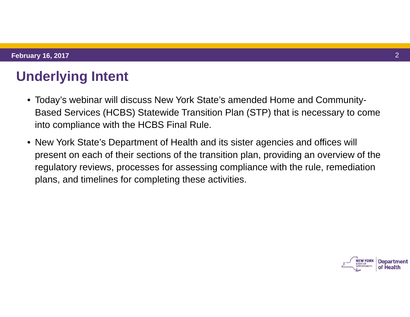# **Underlying Intent**

- Today's webinar will discuss New York State's amended Home and Community-Based Services (HCBS) Statewide Transition Plan (STP) that is necessary to come into compliance with the HCBS Final Rule.
- New York State's Department of Health and its sister agencies and offices will present on each of their sections of the transition plan, providing an overview of the regulatory reviews, processes for assessing compliance with the rule, remediation plans, and timelines for completing these activities.

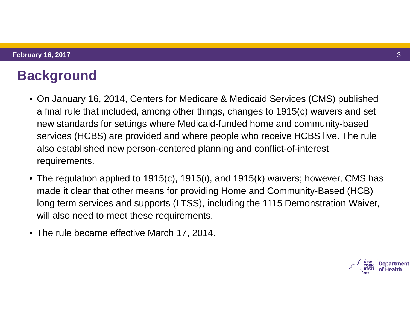# **Background**

- On January 16, 2014, Centers for Medicare & Medicaid Services (CMS) published a final rule that included, among other things, changes to 1915(c) waivers and set new standards for settings where Medicaid-funded home and community-based services (HCBS) are provided and where people who receive HCBS live. The rule also established new person-centered planning and conflict-of-interest requirements.
- The regulation applied to 1915(c), 1915(i), and 1915(k) waivers; however, CMS has made it clear that other means for providing Home and Community-Based (HCB) long term services and supports (LTSS), including the 1115 Demonstration Waiver, will also need to meet these requirements.
- The rule became effective March 17, 2014.

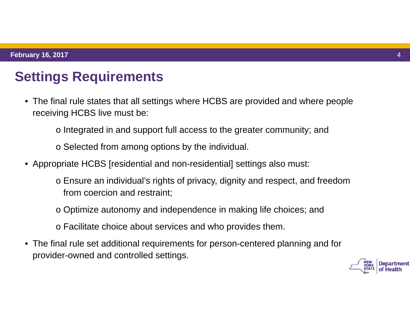# **Settings Requirements**

- The final rule states that all settings where HCBS are provided and where people receiving HCBS live must be:
	- o Integrated in and support full access to the greater community; and
	- o Selected from among options by the individual.
- Appropriate HCBS [residential and non-residential] settings also must:
	- o Ensure an individual's rights of privacy, dignity and respect, and freedom from coercion and restraint;
	- o Optimize autonomy and independence in making life choices; and
	- o Facilitate choice about services and who provides them.
- The final rule set additional requirements for person-centered planning and for provider-owned and controlled settings.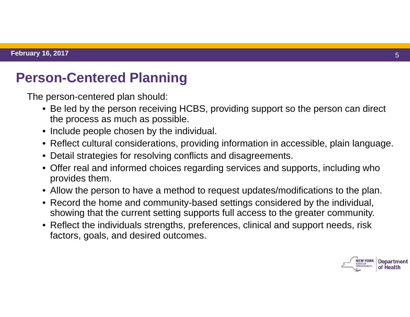### **Person-Centered Planning**

The person-centered plan should:

- Be led by the person receiving HCBS, providing support so the person can direct the process as much as possible.
- Include people chosen by the individual.
- Reflect cultural considerations, providing information in accessible, plain language.
- Detail strategies for resolving conflicts and disagreements.
- Offer real and informed choices regarding services and supports, including who provides them.
- Allow the person to have a method to request updates/modifications to the plan.
- Record the home and community-based settings considered by the individual, showing that the current setting supports full access to the greater community.
- Reflect the individuals strengths, preferences, clinical and support needs, risk factors, goals, and desired outcomes.

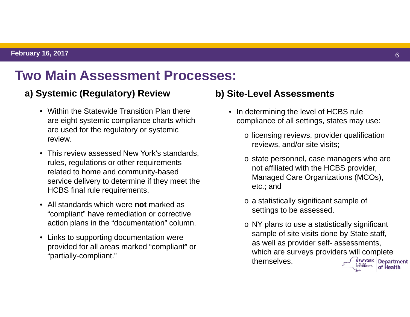### **Two Main Assessment Processes:**

#### **a) Systemic (Regulatory) Review**

- Within the Statewide Transition Plan there are eight systemic compliance charts which are used for the regulatory or systemic review.
- This review assessed New York's standards, rules, regulations or other requirements related to home and community-based service delivery to determine if they meet the HCBS final rule requirements.
- All standards which were **not** marked as "compliant" have remediation or corrective action plans in the "documentation" column.
- Links to supporting documentation were provided for all areas marked "compliant" or "partially-compliant."

#### **b) Site-Level Assessments**

- In determining the level of HCBS rule compliance of all settings, states may use:
	- o licensing reviews, provider qualification reviews, and/or site visits;
	- o state personnel, case managers who are not affiliated with the HCBS provider, Managed Care Organizations (MCOs), etc.; and
	- o a statistically significant sample of settings to be assessed.
	- o NY plans to use a statistically significant sample of site visits done by State staff, as well as provider self- assessments, which are surveys providers will complete themselves. **NEW YORK Department** of Health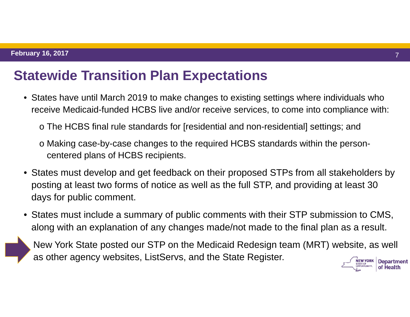### **Statewide Transition Plan Expectations**

- States have until March 2019 to make changes to existing settings where individuals who receive Medicaid-funded HCBS live and/or receive services, to come into compliance with:
	- o The HCBS final rule standards for [residential and non-residential] settings; and
	- o Making case-by-case changes to the required HCBS standards within the personcentered plans of HCBS recipients.
- States must develop and get feedback on their proposed STPs from all stakeholders by posting at least two forms of notice as well as the full STP, and providing at least 30 days for public comment.
- States must include a summary of public comments with their STP submission to CMS, along with an explanation of any changes made/not made to the final plan as a result.

New York State posted our STP on the Medicaid Redesign team (MRT) website, as well as other agency websites, ListServs, and the State Register. **Department** 

of Health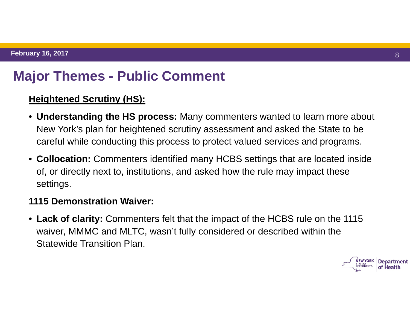# **Major Themes - Public Comment**

#### **Heightened Scrutiny (HS):**

- **Understanding the HS process:** Many commenters wanted to learn more about New York's plan for heightened scrutiny assessment and asked the State to be careful while conducting this process to protect valued services and programs.
- **Collocation:** Commenters identified many HCBS settings that are located inside of, or directly next to, institutions, and asked how the rule may impact these settings.

#### **1115 Demonstration Waiver:**

• **Lack of clarity:** Commenters felt that the impact of the HCBS rule on the 1115 waiver, MMMC and MLTC, wasn't fully considered or described within the Statewide Transition Plan.

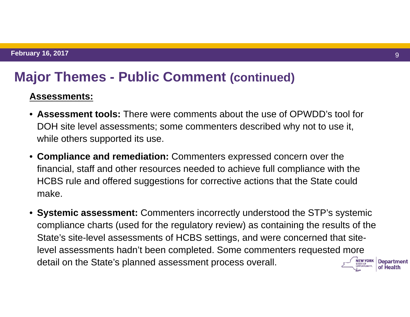#### **Major Themes - Public Comment (continued)**

#### **Assessments:**

- **Assessment tools:** There were comments about the use of OPWDD's tool for DOH site level assessments; some commenters described why not to use it, while others supported its use.
- **Compliance and remediation:** Commenters expressed concern over the financial, staff and other resources needed to achieve full compliance with the HCBS rule and offered suggestions for corrective actions that the State could make.
- **Systemic assessment:** Commenters incorrectly understood the STP's systemic compliance charts (used for the regulatory review) as containing the results of the State's site-level assessments of HCBS settings, and were concerned that sitelevel assessments hadn't been completed. Some commenters requested more detail on the State's planned assessment process overall.Department of Health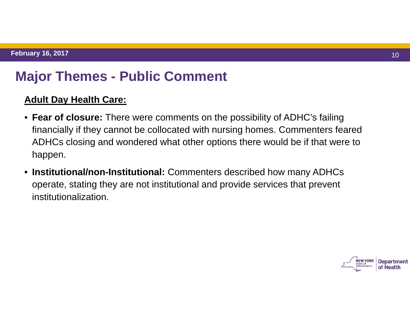### **Major Themes - Public Comment**

#### **Adult Day Health Care:**

- **Fear of closure:** There were comments on the possibility of ADHC's failing financially if they cannot be collocated with nursing homes. Commenters feared ADHCs closing and wondered what other options there would be if that were to happen.
- **Institutional/non-Institutional:** Commenters described how many ADHCs operate, stating they are not institutional and provide services that prevent institutionalization.

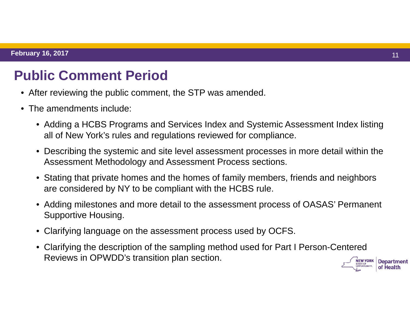### **Public Comment Period**

- After reviewing the public comment, the STP was amended.
- The amendments include:
	- Adding a HCBS Programs and Services Index and Systemic Assessment Index listing all of New York's rules and regulations reviewed for compliance.
	- Describing the systemic and site level assessment processes in more detail within the Assessment Methodology and Assessment Process sections.
	- Stating that private homes and the homes of family members, friends and neighbors are considered by NY to be compliant with the HCBS rule.
	- Adding milestones and more detail to the assessment process of OASAS' Permanent Supportive Housing.
	- Clarifying language on the assessment process used by OCFS.
	- Clarifying the description of the sampling method used for Part I Person-Centered Reviews in OPWDD's transition plan section.

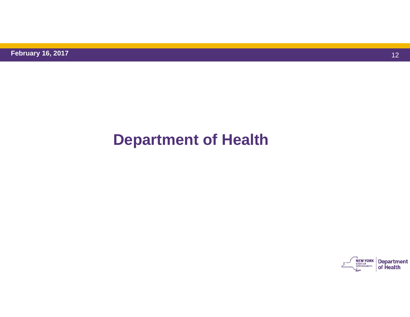# **Department of Health**

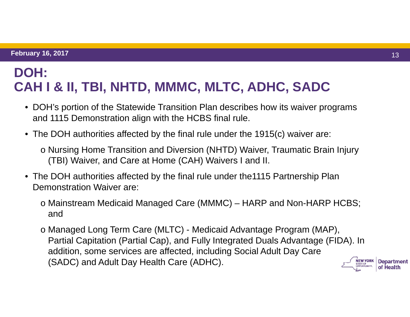### **DOH: CAH I & II, TBI, NHTD, MMMC, MLTC, ADHC, SADC**

- DOH's portion of the Statewide Transition Plan describes how its waiver programs and 1115 Demonstration align with the HCBS final rule.
- The DOH authorities affected by the final rule under the 1915(c) waiver are:
	- o Nursing Home Transition and Diversion (NHTD) Waiver, Traumatic Brain Injury (TBI) Waiver, and Care at Home (CAH) Waivers I and II.
- The DOH authorities affected by the final rule under the1115 Partnership Plan Demonstration Waiver are:
	- o Mainstream Medicaid Managed Care (MMMC) HARP and Non-HARP HCBS; and
	- o Managed Long Term Care (MLTC) Medicaid Advantage Program (MAP), Partial Capitation (Partial Cap), and Fully Integrated Duals Advantage (FIDA). In addition, some services are affected, including Social Adult Day Care (SADC) and Adult Day Health Care (ADHC). **NEW YORK**



**Department** of Health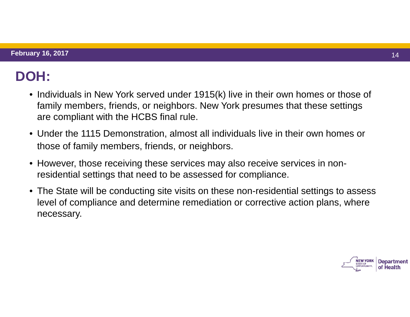# **DOH:**

- Individuals in New York served under 1915(k) live in their own homes or those of family members, friends, or neighbors. New York presumes that these settings are compliant with the HCBS final rule.
- Under the 1115 Demonstration, almost all individuals live in their own homes or those of family members, friends, or neighbors.
- However, those receiving these services may also receive services in nonresidential settings that need to be assessed for compliance.
- The State will be conducting site visits on these non-residential settings to assess level of compliance and determine remediation or corrective action plans, where necessary.

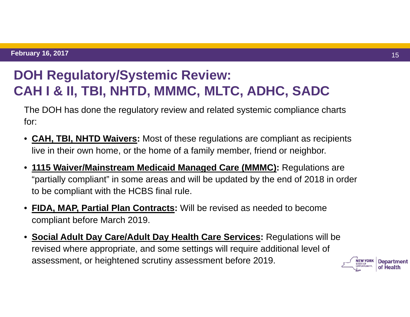# **DOH Regulatory/Systemic Review: CAH I & II, TBI, NHTD, MMMC, MLTC, ADHC, SADC**

The DOH has done the regulatory review and related systemic compliance charts for:

- $\bullet$  **CAH, TBI, NHTD Waivers:** Most of these regulations are compliant as recipients live in their own home, or the home of a family member, friend or neighbor.
- **1115 Waiver/Mainstream Medicaid Managed Care (MMMC):** Regulations are "partially compliant" in some areas and will be updated by the end of 2018 in order to be compliant with the HCBS final rule.
- **FIDA, MAP, Partial Plan Contracts:** Will be revised as needed to become compliant before March 2019.
- **Social Adult Day Care/Adult Day Health Care Services:** Regulations will be revised where appropriate, and some settings will require additional level of assessment, or heightened scrutiny assessment before 2019.

Department of Health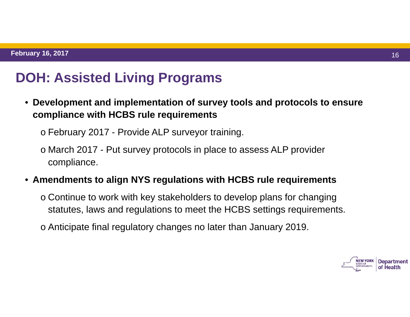# **DOH: Assisted Living Programs**

• **Development and implementation of survey tools and protocols to ensure compliance with HCBS rule requirements** 

o February 2017 - Provide ALP surveyor training.

o March 2017 - Put survey protocols in place to assess ALP provider compliance.

• **Amendments to align NYS regulations with HCBS rule requirements** 

o Continue to work with key stakeholders to develop plans for changing statutes, laws and regulations to meet the HCBS settings requirements.

o Anticipate final regulatory changes no later than January 2019.

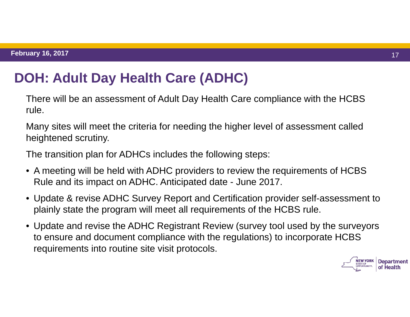# **DOH: Adult Day Health Care (ADHC)**

There will be an assessment of Adult Day Health Care compliance with the HCBS rule.

Many sites will meet the criteria for needing the higher level of assessment called heightened scrutiny.

The transition plan for ADHCs includes the following steps:

- A meeting will be held with ADHC providers to review the requirements of HCBS Rule and its impact on ADHC. Anticipated date - June 2017.
- Update & revise ADHC Survey Report and Certification provider self-assessment to plainly state the program will meet all requirements of the HCBS rule.
- Update and revise the ADHC Registrant Review (survey tool used by the surveyors to ensure and document compliance with the regulations) to incorporate HCBS requirements into routine site visit protocols.

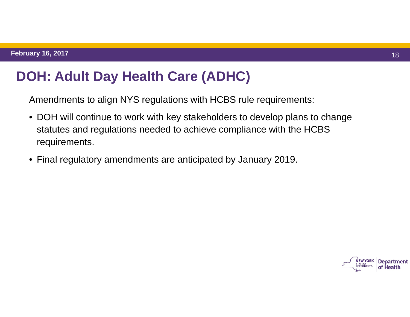# **DOH: Adult Day Health Care (ADHC)**

Amendments to align NYS regulations with HCBS rule requirements:

- DOH will continue to work with key stakeholders to develop plans to change statutes and regulations needed to achieve compliance with the HCBS requirements.
- Final regulatory amendments are anticipated by January 2019.

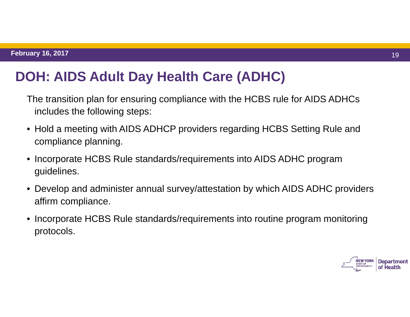# **DOH: AIDS Adult Day Health Care (ADHC)**

The transition plan for ensuring compliance with the HCBS rule for AIDS ADHCs includes the following steps:

- Hold a meeting with AIDS ADHCP providers regarding HCBS Setting Rule and compliance planning.
- Incorporate HCBS Rule standards/requirements into AIDS ADHC program guidelines.
- Develop and administer annual survey/attestation by which AIDS ADHC providers affirm compliance.
- Incorporate HCBS Rule standards/requirements into routine program monitoring protocols.

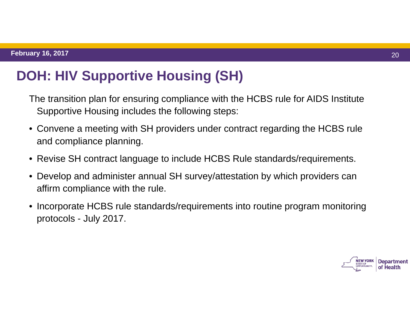# **DOH: HIV Supportive Housing (SH)**

The transition plan for ensuring compliance with the HCBS rule for AIDS Institute Supportive Housing includes the following steps:

- Convene a meeting with SH providers under contract regarding the HCBS rule and compliance planning.
- Revise SH contract language to include HCBS Rule standards/requirements.
- Develop and administer annual SH survey/attestation by which providers can affirm compliance with the rule.
- Incorporate HCBS rule standards/requirements into routine program monitoring protocols - July 2017.

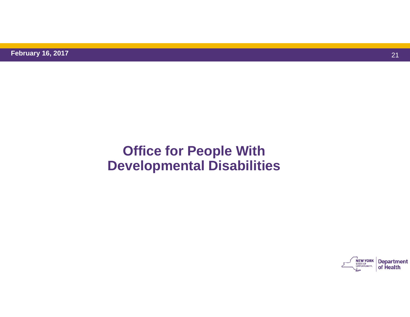# **Office for People With Developmental Disabilities**

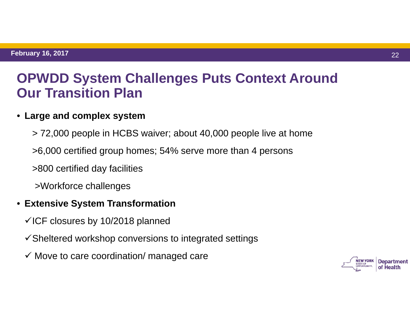### **OPWDD System Challenges Puts Context Around Our Transition Plan**

#### • **Large and complex system**

- > 72,000 people in HCBS waiver; about 40,000 people live at home
- >6,000 certified group homes; 54% serve more than 4 persons
- >800 certified day facilities
- >Workforce challenges

#### • **Extensive System Transformation**

- $\checkmark$  ICF closures by 10/2018 planned
- $\checkmark$  Sheltered workshop conversions to integrated settings
- $\checkmark$  Move to care coordination/ managed care

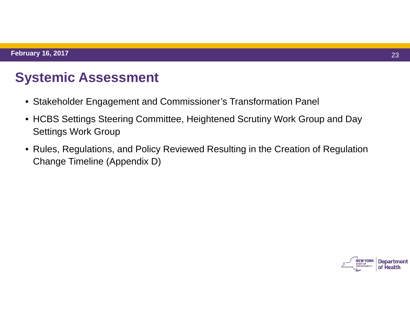# **Systemic Assessment**

- Stakeholder Engagement and Commissioner's Transformation Panel
- HCBS Settings Steering Committee, Heightened Scrutiny Work Group and Day Settings Work Group
- Rules, Regulations, and Policy Reviewed Resulting in the Creation of Regulation Change Timeline (Appendix D)

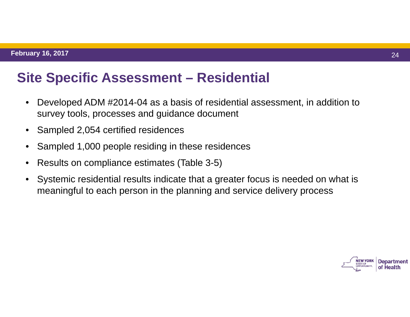# **Site Specific Assessment – Residential**

- • Developed ADM #2014-04 as a basis of residential assessment, in addition to survey tools, processes and guidance document
- $\bullet$ Sampled 2,054 certified residences
- •Sampled 1,000 people residing in these residences
- •Results on compliance estimates (Table 3-5)
- • Systemic residential results indicate that a greater focus is needed on what is meaningful to each person in the planning and service delivery process

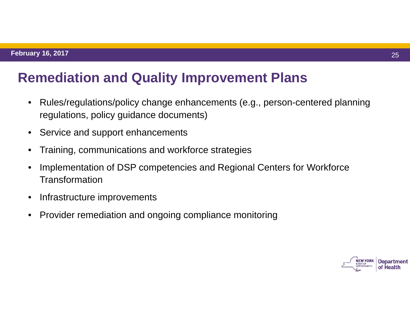# **Remediation and Quality Improvement Plans**

- • Rules/regulations/policy change enhancements (e.g., person-centered planning regulations, policy guidance documents)
- •Service and support enhancements
- •Training, communications and workforce strategies
- • Implementation of DSP competencies and Regional Centers for Workforce **Transformation**
- $\bullet$ Infrastructure improvements
- $\bullet$ Provider remediation and ongoing compliance monitoring

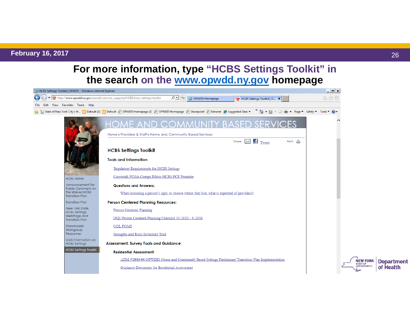#### **February 16, 2017** 26

**For more information, type "HCBS Settings Toolkit" in the search on the www.opwdd.ny.gov homepage** 



**Department** 

of Health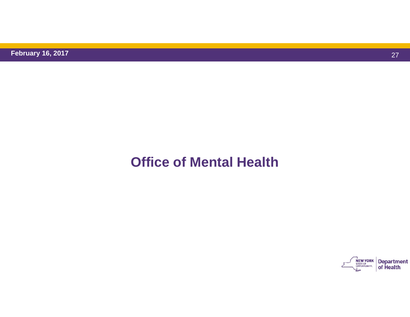**February 16, 2017** 

# **Office of Mental Health**

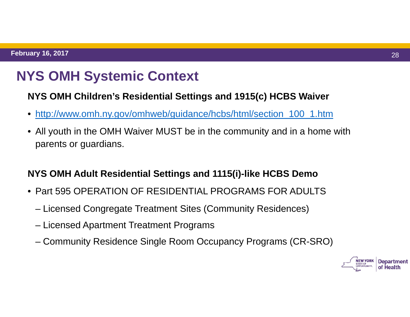# **NYS OMH Systemic Context**

#### **NYS OMH Children's Residential Settings and 1915(c) HCBS Waiver**

- http://www.omh.ny.gov/omhweb/guidance/hcbs/html/section\_100\_1.htm
- All youth in the OMH Waiver MUST be in the community and in a home with parents or guardians.

#### **NYS OMH Adult Residential Settings and 1115(i)-like HCBS Demo**

- Part 595 OPERATION OF RESIDENTIAL PROGRAMS FOR ADULTS
	- Licensed Congregate Treatment Sites (Community Residences)
	- Licensed Apartment Treatment Programs
	- Community Residence Single Room Occupancy Programs (CR-SRO)

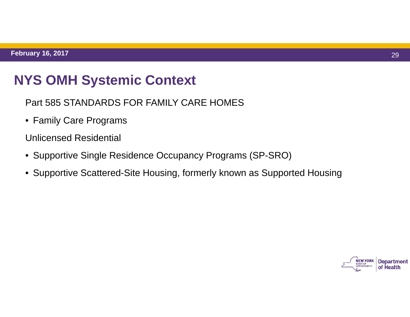### **NYS OMH Systemic Context**

Part 585 STANDARDS FOR FAMILY CARE HOMES

• Family Care Programs

Unlicensed Residential

- Supportive Single Residence Occupancy Programs (SP-SRO)
- Supportive Scattered-Site Housing, formerly known as Supported Housing

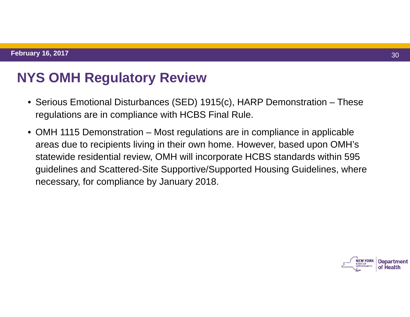# **NYS OMH Regulatory Review**

- Serious Emotional Disturbances (SED) 1915(c), HARP Demonstration These regulations are in compliance with HCBS Final Rule.
- OMH 1115 Demonstration Most regulations are in compliance in applicable areas due to recipients living in their own home. However, based upon OMH's statewide residential review, OMH will incorporate HCBS standards within 595 guidelines and Scattered-Site Supportive/Supported Housing Guidelines, where necessary, for compliance by January 2018.

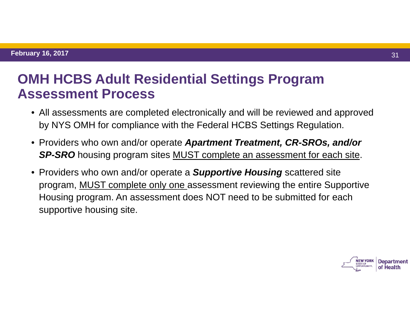### **OMH HCBS Adult Residential Settings Program Assessment Process**

- All assessments are completed electronically and will be reviewed and approved by NYS OMH for compliance with the Federal HCBS Settings Regulation.
- Providers who own and/or operate *Apartment Treatment, CR-SROs, and/or*  **SP-SRO** housing program sites **MUST** complete an assessment for each site.
- Providers who own and/or operate a *Supportive Housing* scattered site program, MUST complete only one assessment reviewing the entire Supportive Housing program. An assessment does NOT need to be submitted for each supportive housing site.

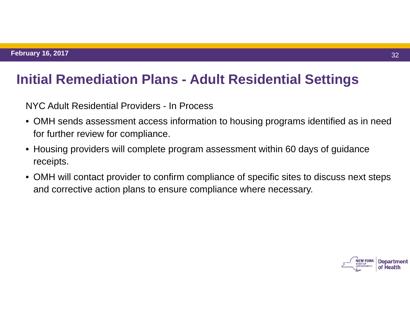### **Initial Remediation Plans - Adult Residential Settings**

NYC Adult Residential Providers - In Process

- OMH sends assessment access information to housing programs identified as in need for further review for compliance.
- Housing providers will complete program assessment within 60 days of guidance receipts.
- OMH will contact provider to confirm compliance of specific sites to discuss next steps and corrective action plans to ensure compliance where necessary.

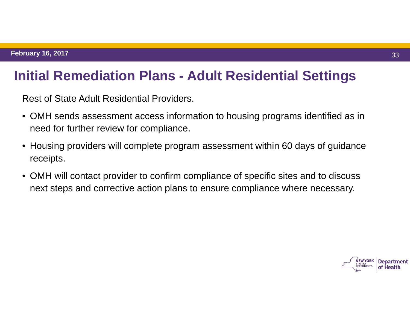#### **Initial Remediation Plans - Adult Residential Settings**

Rest of State Adult Residential Providers.

- OMH sends assessment access information to housing programs identified as in need for further review for compliance.
- Housing providers will complete program assessment within 60 days of guidance receipts.
- OMH will contact provider to confirm compliance of specific sites and to discuss next steps and corrective action plans to ensure compliance where necessary.

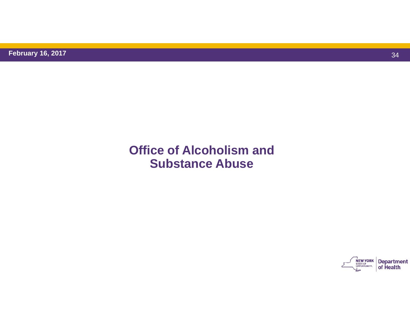#### **Office of Alcoholism and Substance Abuse**

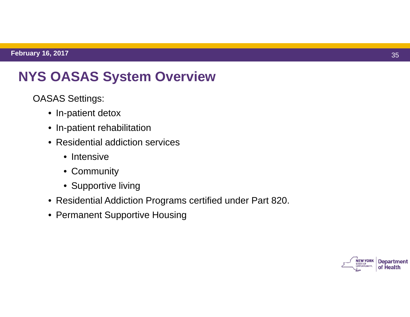# **NYS OASAS System Overview**

- OASAS Settings:
	- In-patient detox
	- In-patient rehabilitation
	- Residential addiction services
		- Intensive
		- Community
		- Supportive living
	- Residential Addiction Programs certified under Part 820.
	- Permanent Supportive Housing

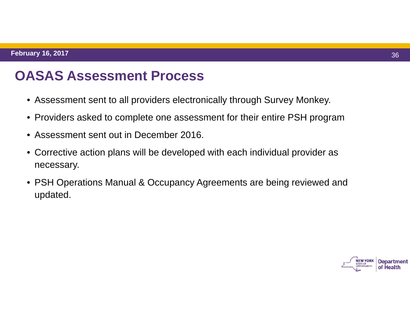# **OASAS Assessment Process**

- Assessment sent to all providers electronically through Survey Monkey.
- Providers asked to complete one assessment for their entire PSH program
- Assessment sent out in December 2016.
- Corrective action plans will be developed with each individual provider as necessary.
- PSH Operations Manual & Occupancy Agreements are being reviewed and updated.

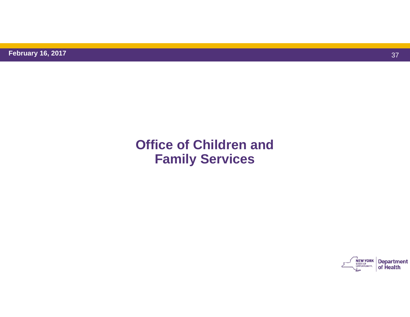### **Office of Children andFamily Services**

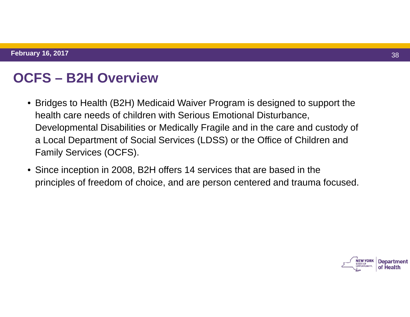# **OCFS – B2H Overview**

- Bridges to Health (B2H) Medicaid Waiver Program is designed to support the health care needs of children with Serious Emotional Disturbance, Developmental Disabilities or Medically Fragile and in the care and custody of a Local Department of Social Services (LDSS) or the Office of Children and Family Services (OCFS).
- Since inception in 2008, B2H offers 14 services that are based in the principles of freedom of choice, and are person centered and trauma focused.

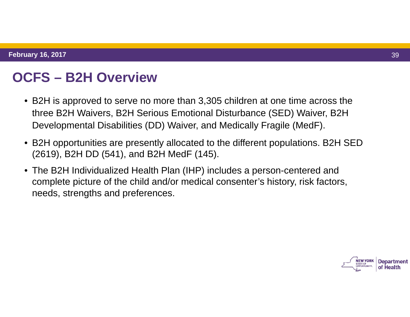# **OCFS – B2H Overview**

- B2H is approved to serve no more than 3,305 children at one time across the three B2H Waivers, B2H Serious Emotional Disturbance (SED) Waiver, B2H Developmental Disabilities (DD) Waiver, and Medically Fragile (MedF).
- B2H opportunities are presently allocated to the different populations. B2H SED (2619), B2H DD (541), and B2H MedF (145).
- The B2H Individualized Health Plan (IHP) includes a person-centered and complete picture of the child and/or medical consenter's history, risk factors, needs, strengths and preferences.

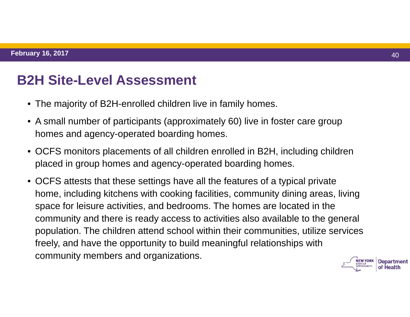### **B2H Site-Level Assessment**

- The majority of B2H-enrolled children live in family homes.
- A small number of participants (approximately 60) live in foster care group homes and agency-operated boarding homes.
- OCFS monitors placements of all children enrolled in B2H, including children placed in group homes and agency-operated boarding homes.
- OCFS attests that these settings have all the features of a typical private home, including kitchens with cooking facilities, community dining areas, living space for leisure activities, and bedrooms. The homes are located in the community and there is ready access to activities also available to the general population. The children attend school within their communities, utilize services freely, and have the opportunity to build meaningful relationships with community members and organizations.

**Department** of Health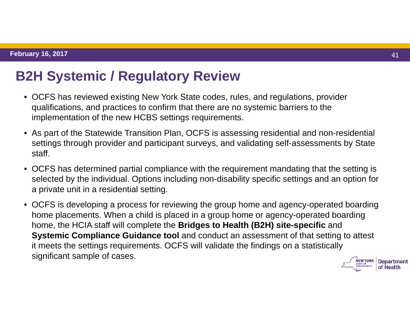# **B2H Systemic / Regulatory Review**

- OCFS has reviewed existing New York State codes, rules, and regulations, provider qualifications, and practices to confirm that there are no systemic barriers to the implementation of the new HCBS settings requirements.
- As part of the Statewide Transition Plan, OCFS is assessing residential and non-residential settings through provider and participant surveys, and validating self-assessments by State staff.
- OCFS has determined partial compliance with the requirement mandating that the setting is selected by the individual. Options including non-disability specific settings and an option for a private unit in a residential setting.
- OCFS is developing a process for reviewing the group home and agency-operated boarding home placements. When a child is placed in a group home or agency-operated boarding home, the HCIA staff will complete the **Bridges to Health (B2H) site-specific** and **Systemic Compliance Guidance tool** and conduct an assessment of that setting to attest it meets the settings requirements. OCFS will validate the findings on a statistically significant sample of cases.**Department**

of Health